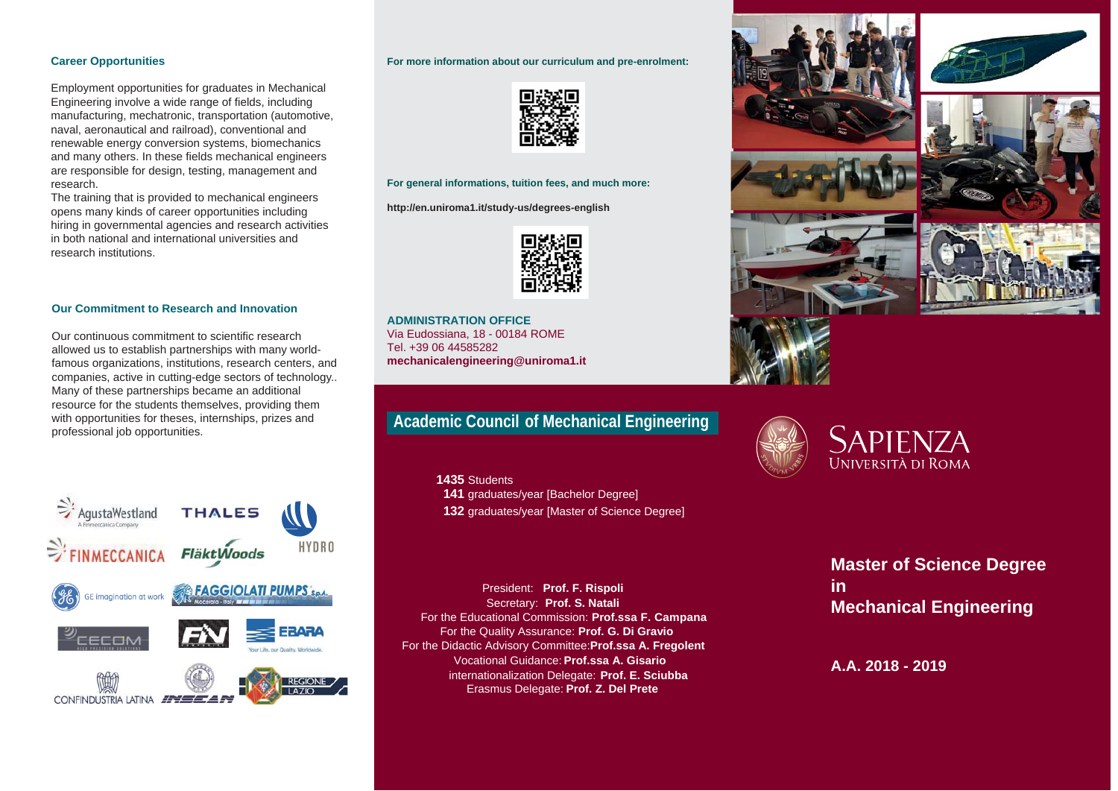#### **Career Opportunities**

Employment opportunities for graduates in Mechanical Engineering involve a wide range of fields, including manufacturing, mechatronic, transportation (automotive, naval, aeronautical and railroad), conventional and renewable energy conversion systems, biomechanics and many others. In these fields mechanical engineers are responsible for design, testing, management and research.

The training that is provided to mechanical engineers opens many kinds of career opportunities including hiring in governmental agencies and research activities in both national and international universities and research institutions.

#### **Our Commitment to Research and Innovation**

Our continuous commitment to scientific research allowed us to establish partnerships with many worldfamous organizations, institutions, research centers, and companies, active in cutting-edge sectors of technology.. Many of these partnerships became an additional resource for the students themselves, providing them with opportunities for theses, internships, prizes and professional job opportunities.



#### **For more information about our curriculum and pre-enrolment:**



#### **For general informations, tuition fees, and much more:**

**http://en.uniroma1.it/study-us/degrees-english**



**ADMINISTRATION OFFICE**Via Eudossiana, 18 - 00184 ROME Tel. +39 06 44585282 **mechanicalengineering@uniroma1.it** 

# **Academic Council of Mechanical Engineering**

 **1435** Students  **141** graduates/year [Bachelor Degree] **132** graduates/year [Master of Science Degree]

President: **Prof. F. Rispoli**  Secretary: **Prof. S. Natali**  For the Educational Commission: **Prof.ssa F. Campana** For the Quality Assurance: **Prof. G. Di Gravio**  For the Didactic Advisory Committee:**Prof.ssa A. Fregolent**  Vocational Guidance: **Prof.ssa A. Gisario**  internationalization Delegate: **Prof. E. Sciubba** Erasmus Delegate: **Prof. Z. Del Prete**











**Master of Science Degree inMechanical Engineering** 

**A.A. 2018 - 2019**